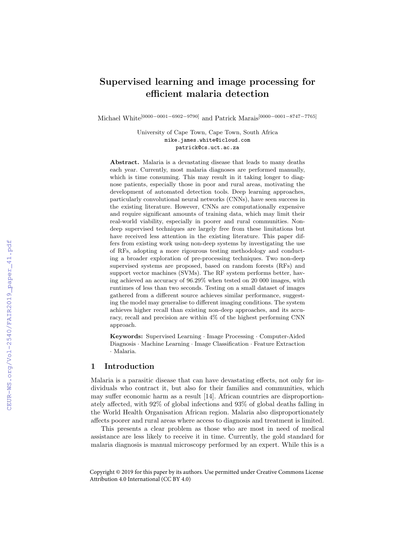# Supervised learning and image processing for efficient malaria detection

Michael White[0000−0001−6902−9790] and Patrick Marais[0000−0001−8747−7765]

University of Cape Town, Cape Town, South Africa mike.james.white@icloud.com patrick@cs.uct.ac.za

Abstract. Malaria is a devastating disease that leads to many deaths each year. Currently, most malaria diagnoses are performed manually, which is time consuming. This may result in it taking longer to diagnose patients, especially those in poor and rural areas, motivating the development of automated detection tools. Deep learning approaches, particularly convolutional neural networks (CNNs), have seen success in the existing literature. However, CNNs are computationally expensive and require significant amounts of training data, which may limit their real-world viability, especially in poorer and rural communities. Nondeep supervised techniques are largely free from these limitations but have received less attention in the existing literature. This paper differs from existing work using non-deep systems by investigating the use of RFs, adopting a more rigourous testing methodology and conducting a broader exploration of pre-processing techniques. Two non-deep supervised systems are proposed, based on random forests (RFs) and support vector machines (SVMs). The RF system performs better, having achieved an accuracy of 96.29% when tested on 20 000 images, with runtimes of less than two seconds. Testing on a small dataset of images gathered from a different source achieves similar performance, suggesting the model may generalise to different imaging conditions. The system achieves higher recall than existing non-deep approaches, and its accuracy, recall and precision are within 4% of the highest performing CNN approach.

Keywords: Supervised Learning · Image Processing · Computer-Aided Diagnosis · Machine Learning · Image Classification · Feature Extraction · Malaria.

## 1 Introduction

Malaria is a parasitic disease that can have devastating effects, not only for individuals who contract it, but also for their families and communities, which may suffer economic harm as a result [14]. African countries are disproportionately affected, with 92% of global infections and 93% of global deaths falling in the World Health Organisation African region. Malaria also disproportionately affects poorer and rural areas where access to diagnosis and treatment is limited.

This presents a clear problem as those who are most in need of medical assistance are less likely to receive it in time. Currently, the gold standard for malaria diagnosis is manual microscopy performed by an expert. While this is a

Copyright © 2019 for this paper by its authors. Use permitted under Creative Commons License Attribution 4.0 International (CC BY 4.0)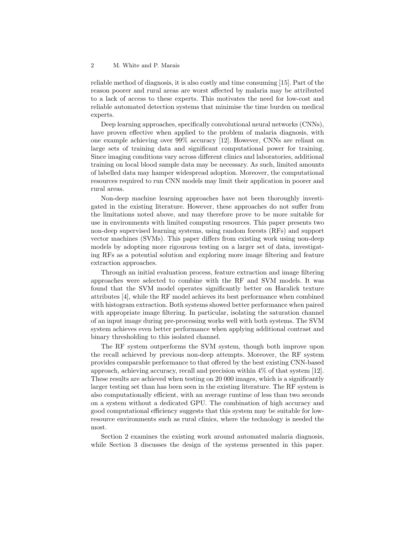reliable method of diagnosis, it is also costly and time consuming [15]. Part of the reason poorer and rural areas are worst affected by malaria may be attributed to a lack of access to these experts. This motivates the need for low-cost and reliable automated detection systems that minimise the time burden on medical experts.

Deep learning approaches, specifically convolutional neural networks (CNNs), have proven effective when applied to the problem of malaria diagnosis, with one example achieving over 99% accuracy [12]. However, CNNs are reliant on large sets of training data and significant computational power for training. Since imaging conditions vary across different clinics and laboratories, additional training on local blood sample data may be necessary. As such, limited amounts of labelled data may hamper widespread adoption. Moreover, the computational resources required to run CNN models may limit their application in poorer and rural areas.

Non-deep machine learning approaches have not been thoroughly investigated in the existing literature. However, these approaches do not suffer from the limitations noted above, and may therefore prove to be more suitable for use in environments with limited computing resources. This paper presents two non-deep supervised learning systems, using random forests (RFs) and support vector machines (SVMs). This paper differs from existing work using non-deep models by adopting more rigourous testing on a larger set of data, investigating RFs as a potential solution and exploring more image filtering and feature extraction approaches.

Through an initial evaluation process, feature extraction and image filtering approaches were selected to combine with the RF and SVM models. It was found that the SVM model operates significantly better on Haralick texture attributes [4], while the RF model achieves its best performance when combined with histogram extraction. Both systems showed better performance when paired with appropriate image filtering. In particular, isolating the saturation channel of an input image during pre-processing works well with both systems. The SVM system achieves even better performance when applying additional contrast and binary thresholding to this isolated channel.

The RF system outperforms the SVM system, though both improve upon the recall achieved by previous non-deep attempts. Moreover, the RF system provides comparable performance to that offered by the best existing CNN-based approach, achieving accuracy, recall and precision within 4% of that system [12]. These results are achieved when testing on 20 000 images, which is a significantly larger testing set than has been seen in the existing literature. The RF system is also computationally efficient, with an average runtime of less than two seconds on a system without a dedicated GPU. The combination of high accuracy and good computational efficiency suggests that this system may be suitable for lowresource environments such as rural clinics, where the technology is needed the most.

Section 2 examines the existing work around automated malaria diagnosis, while Section 3 discusses the design of the systems presented in this paper.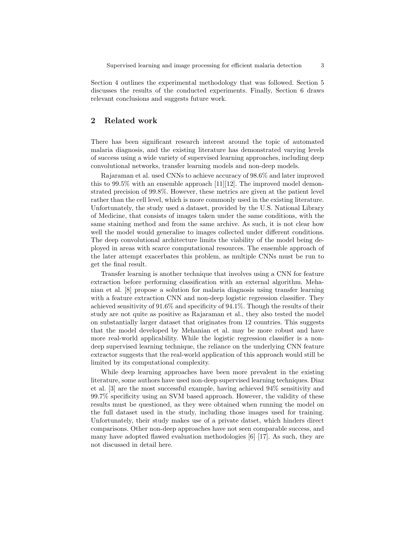Section 4 outlines the experimental methodology that was followed. Section 5 discusses the results of the conducted experiments. Finally, Section 6 draws relevant conclusions and suggests future work.

# 2 Related work

There has been significant research interest around the topic of automated malaria diagnosis, and the existing literature has demonstrated varying levels of success using a wide variety of supervised learning approaches, including deep convolutional networks, transfer learning models and non-deep models.

Rajaraman et al. used CNNs to achieve accuracy of 98.6% and later improved this to 99.5% with an ensemble approach  $[11][12]$ . The improved model demonstrated precision of 99.8%. However, these metrics are given at the patient level rather than the cell level, which is more commonly used in the existing literature. Unfortunately, the study used a dataset, provided by the U.S. National Library of Medicine, that consists of images taken under the same conditions, with the same staining method and from the same archive. As such, it is not clear how well the model would generalise to images collected under different conditions. The deep convolutional architecture limits the viability of the model being deployed in areas with scarce computational resources. The ensemble approach of the later attempt exacerbates this problem, as multiple CNNs must be run to get the final result.

Transfer learning is another technique that involves using a CNN for feature extraction before performing classification with an external algorithm. Mehanian et al. [8] propose a solution for malaria diagnosis using transfer learning with a feature extraction CNN and non-deep logistic regression classifier. They achieved sensitivity of 91.6% and specificity of 94.1%. Though the results of their study are not quite as positive as Rajaraman et al., they also tested the model on substantially larger dataset that originates from 12 countries. This suggests that the model developed by Mehanian et al. may be more robust and have more real-world applicability. While the logistic regression classifier is a nondeep supervised learning technique, the reliance on the underlying CNN feature extractor suggests that the real-world application of this approach would still be limited by its computational complexity.

While deep learning approaches have been more prevalent in the existing literature, some authors have used non-deep supervised learning techniques. Diaz et al. [3] are the most successful example, having achieved 94% sensitivity and 99.7% specificity using an SVM based approach. However, the validity of these results must be questioned, as they were obtained when running the model on the full dataset used in the study, including those images used for training. Unfortunately, their study makes use of a private datset, which hinders direct comparisons. Other non-deep approaches have not seen comparable success, and many have adopted flawed evaluation methodologies [6] [17]. As such, they are not discussed in detail here.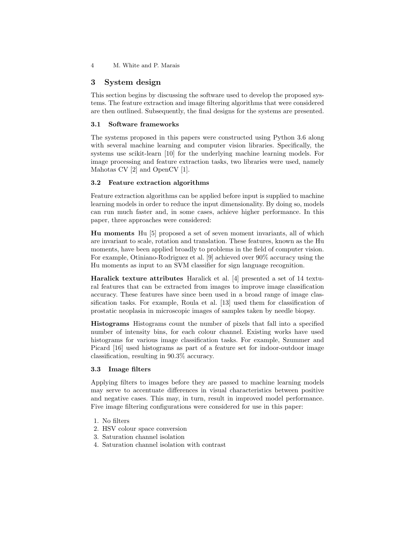4 M. White and P. Marais

# 3 System design

This section begins by discussing the software used to develop the proposed systems. The feature extraction and image filtering algorithms that were considered are then outlined. Subsequently, the final designs for the systems are presented.

## 3.1 Software frameworks

The systems proposed in this papers were constructed using Python 3.6 along with several machine learning and computer vision libraries. Specifically, the systems use scikit-learn [10] for the underlying machine learning models. For image processing and feature extraction tasks, two libraries were used, namely Mahotas CV [2] and OpenCV [1].

## 3.2 Feature extraction algorithms

Feature extraction algorithms can be applied before input is supplied to machine learning models in order to reduce the input dimensionality. By doing so, models can run much faster and, in some cases, achieve higher performance. In this paper, three approaches were considered:

Hu moments Hu [5] proposed a set of seven moment invariants, all of which are invariant to scale, rotation and translation. These features, known as the Hu moments, have been applied broadly to problems in the field of computer vision. For example, Otiniano-Rodriguez et al. [9] achieved over 90% accuracy using the Hu moments as input to an SVM classifier for sign language recognition.

Haralick texture attributes Haralick et al. [4] presented a set of 14 textural features that can be extracted from images to improve image classification accuracy. These features have since been used in a broad range of image classification tasks. For example, Roula et al. [13] used them for classification of prostatic neoplasia in microscopic images of samples taken by needle biopsy.

Histograms Histograms count the number of pixels that fall into a specified number of intensity bins, for each colour channel. Existing works have used histograms for various image classification tasks. For example, Szummer and Picard [16] used histograms as part of a feature set for indoor-outdoor image classification, resulting in 90.3% accuracy.

## 3.3 Image filters

Applying filters to images before they are passed to machine learning models may serve to accentuate differences in visual characteristics between positive and negative cases. This may, in turn, result in improved model performance. Five image filtering configurations were considered for use in this paper:

- 1. No filters
- 2. HSV colour space conversion
- 3. Saturation channel isolation
- 4. Saturation channel isolation with contrast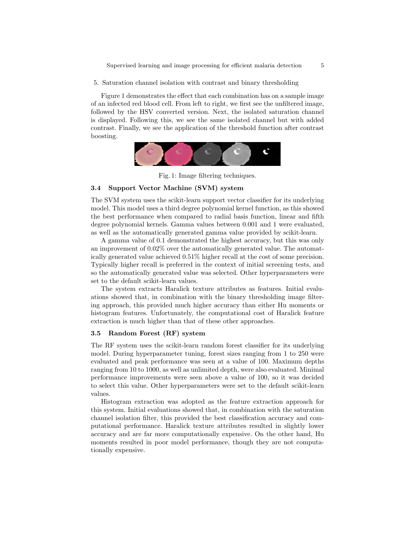Supervised learning and image processing for efficient malaria detection 5

5. Saturation channel isolation with contrast and binary thresholding

Figure 1 demonstrates the effect that each combination has on a sample image of an infected red blood cell. From left to right, we first see the unfiltered image, followed by the HSV converted version. Next, the isolated saturation channel is displayed. Following this, we see the same isolated channel but with added contrast. Finally, we see the application of the threshold function after contrast boosting.



Fig. 1: Image filtering techniques.

## 3.4 Support Vector Machine (SVM) system

The SVM system uses the scikit-learn support vector classifier for its underlying model. This model uses a third degree polynomial kernel function, as this showed the best performance when compared to radial basis function, linear and fifth degree polynomial kernels. Gamma values between 0.001 and 1 were evaluated, as well as the automatically generated gamma value provided by scikit-learn.

A gamma value of 0.1 demonstrated the highest accuracy, but this was only an improvement of 0.02% over the automatically generated value. The automatically generated value achieved 0.51% higher recall at the cost of some precision. Typically higher recall is preferred in the context of initial screening tests, and so the automatically generated value was selected. Other hyperparameters were set to the default scikit-learn values.

The system extracts Haralick texture attributes as features. Initial evaluations showed that, in combination with the binary thresholding image filtering approach, this provided much higher accuracy than either Hu moments or histogram features. Unfortunately, the computational cost of Haralick feature extraction is much higher than that of these other approaches.

## 3.5 Random Forest (RF) system

The RF system uses the scikit-learn random forest classifier for its underlying model. During hyperparameter tuning, forest sizes ranging from 1 to 250 were evaluated and peak performance was seen at a value of 100. Maximum depths ranging from 10 to 1000, as well as unlimited depth, were also evaluated. Minimal performance improvements were seen above a value of 100, so it was decided to select this value. Other hyperparameters were set to the default scikit-learn values.

Histogram extraction was adopted as the feature extraction approach for this system. Initial evaluations showed that, in combination with the saturation channel isolation filter, this provided the best classification accuracy and computational performance. Haralick texture attributes resulted in slightly lower accuracy and are far more computationally expensive. On the other hand, Hu moments resulted in poor model performance, though they are not computationally expensive.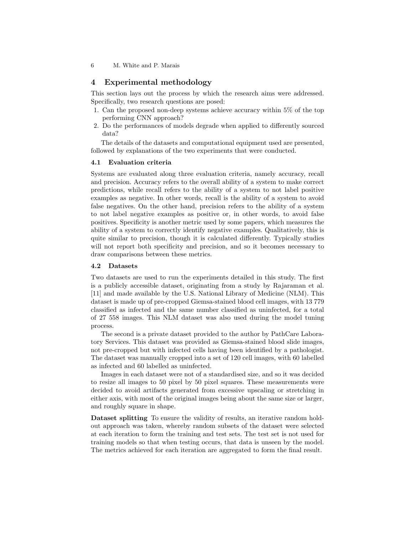6 M. White and P. Marais

## 4 Experimental methodology

This section lays out the process by which the research aims were addressed. Specifically, two research questions are posed:

- 1. Can the proposed non-deep systems achieve accuracy within 5% of the top performing CNN approach?
- 2. Do the performances of models degrade when applied to differently sourced data?

The details of the datasets and computational equipment used are presented, followed by explanations of the two experiments that were conducted.

## 4.1 Evaluation criteria

Systems are evaluated along three evaluation criteria, namely accuracy, recall and precision. Accuracy refers to the overall ability of a system to make correct predictions, while recall refers to the ability of a system to not label positive examples as negative. In other words, recall is the ability of a system to avoid false negatives. On the other hand, precision refers to the ability of a system to not label negative examples as positive or, in other words, to avoid false positives. Specificity is another metric used by some papers, which measures the ability of a system to correctly identify negative examples. Qualitatively, this is quite similar to precision, though it is calculated differently. Typically studies will not report both specificity and precision, and so it becomes necessary to draw comparisons between these metrics.

## 4.2 Datasets

Two datasets are used to run the experiments detailed in this study. The first is a publicly accessible dataset, originating from a study by Rajaraman et al. [11] and made available by the U.S. National Library of Medicine (NLM). This dataset is made up of pre-cropped Giemsa-stained blood cell images, with 13 779 classified as infected and the same number classified as uninfected, for a total of 27 558 images. This NLM dataset was also used during the model tuning process.

The second is a private dataset provided to the author by PathCare Laboratory Services. This dataset was provided as Giemsa-stained blood slide images, not pre-cropped but with infected cells having been identified by a pathologist. The dataset was manually cropped into a set of 120 cell images, with 60 labelled as infected and 60 labelled as uninfected.

Images in each dataset were not of a standardised size, and so it was decided to resize all images to 50 pixel by 50 pixel squares. These measurements were decided to avoid artifacts generated from excessive upscaling or stretching in either axis, with most of the original images being about the same size or larger, and roughly square in shape.

Dataset splitting To ensure the validity of results, an iterative random holdout approach was taken, whereby random subsets of the dataset were selected at each iteration to form the training and test sets. The test set is not used for training models so that when testing occurs, that data is unseen by the model. The metrics achieved for each iteration are aggregated to form the final result.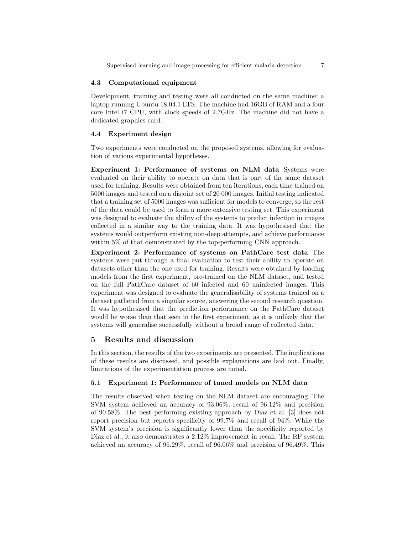Supervised learning and image processing for efficient malaria detection  $7$ 

#### 4.3 Computational equipment

Development, training and testing were all conducted on the same machine: a laptop running Ubuntu 18.04.1 LTS. The machine had 16GB of RAM and a four core Intel i7 CPU, with clock speeds of 2.7GHz. The machine did not have a dedicated graphics card.

#### 4.4 Experiment design

Two experiments were conducted on the proposed systems, allowing for evaluation of various experimental hypotheses.

Experiment 1: Performance of systems on NLM data Systems were evaluated on their ability to operate on data that is part of the same dataset used for training. Results were obtained from ten iterations, each time trained on 5000 images and tested on a disjoint set of 20 000 images. Initial testing indicated that a training set of 5000 images was sufficient for models to converge, so the rest of the data could be used to form a more extensive testing set. This experiment was designed to evaluate the ability of the systems to predict infection in images collected in a similar way to the training data. It was hypothesised that the systems would outperform existing non-deep attempts, and achieve performance within 5% of that demonstrated by the top-performing CNN approach.

Experiment 2: Performance of systems on PathCare test data The systems were put through a final evaluation to test their ability to operate on datasets other than the one used for training. Results were obtained by loading models from the first experiment, pre-trained on the NLM dataset, and tested on the full PathCare dataset of 60 infected and 60 uninfected images. This experiment was designed to evaluate the generalisability of systems trained on a dataset gathered from a singular source, answering the second research question. It was hypothesised that the prediction performance on the PathCare dataset would be worse than that seen in the first experiment, as it is unlikely that the systems will generalise successfully without a broad range of collected data.

#### 5 Results and discussion

In this section, the results of the two experiments are presented. The implications of these results are discussed, and possible explanations are laid out. Finally, limitations of the experimentation process are noted.

## 5.1 Experiment 1: Performance of tuned models on NLM data

The results observed when testing on the NLM dataset are encouraging. The SVM system achieved an accuracy of 93.06%, recall of 96.12% and precision of 90.58%. The best performing existing approach by Diaz et al. [3] does not report precision but reports specificity of 99.7% and recall of 94%. While the SVM system's precision is significantly lower than the specificity reported by Diaz et al., it also demonstrates a 2.12% improvement in recall. The RF system achieved an accuracy of 96.29%, recall of 96.06% and precision of 96.49%. This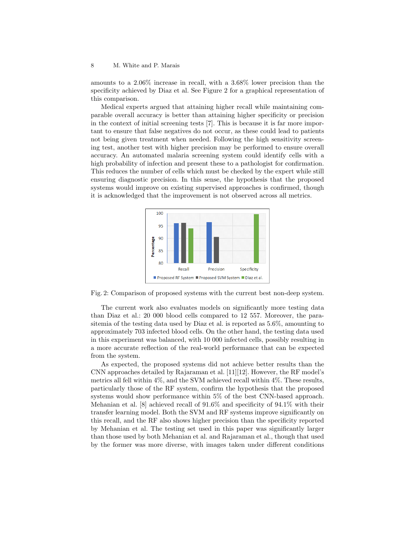amounts to a 2.06% increase in recall, with a 3.68% lower precision than the specificity achieved by Diaz et al. See Figure 2 for a graphical representation of this comparison.

Medical experts argued that attaining higher recall while maintaining comparable overall accuracy is better than attaining higher specificity or precision in the context of initial screening tests [7]. This is because it is far more important to ensure that false negatives do not occur, as these could lead to patients not being given treatment when needed. Following the high sensitivity screening test, another test with higher precision may be performed to ensure overall accuracy. An automated malaria screening system could identify cells with a high probability of infection and present these to a pathologist for confirmation. This reduces the number of cells which must be checked by the expert while still ensuring diagnostic precision. In this sense, the hypothesis that the proposed systems would improve on existing supervised approaches is confirmed, though it is acknowledged that the improvement is not observed across all metrics.



Fig. 2: Comparison of proposed systems with the current best non-deep system.

The current work also evaluates models on significantly more testing data than Diaz et al.: 20 000 blood cells compared to 12 557. Moreover, the parasitemia of the testing data used by Diaz et al. is reported as 5.6%, amounting to approximately 703 infected blood cells. On the other hand, the testing data used in this experiment was balanced, with 10 000 infected cells, possibly resulting in a more accurate reflection of the real-world performance that can be expected from the system.

As expected, the proposed systems did not achieve better results than the CNN approaches detailed by Rajaraman et al. [11][12]. However, the RF model's metrics all fell within 4%, and the SVM achieved recall within 4%. These results, particularly those of the RF system, confirm the hypothesis that the proposed systems would show performance within 5% of the best CNN-based approach. Mehanian et al. [8] achieved recall of 91.6% and specificity of 94.1% with their transfer learning model. Both the SVM and RF systems improve significantly on this recall, and the RF also shows higher precision than the specificity reported by Mehanian et al. The testing set used in this paper was significantly larger than those used by both Mehanian et al. and Rajaraman et al., though that used by the former was more diverse, with images taken under different conditions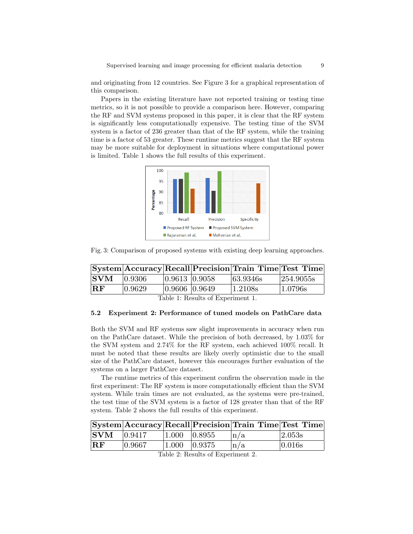and originating from 12 countries. See Figure 3 for a graphical representation of this comparison.

Papers in the existing literature have not reported training or testing time metrics, so it is not possible to provide a comparison here. However, comparing the RF and SVM systems proposed in this paper, it is clear that the RF system is significantly less computationally expensive. The testing time of the SVM system is a factor of 236 greater than that of the RF system, while the training time is a factor of 53 greater. These runtime metrics suggest that the RF system may be more suitable for deployment in situations where computational power is limited. Table 1 shows the full results of this experiment.



Fig. 3: Comparison of proposed systems with existing deep learning approaches.

|               |        |               | System Accuracy Recall Precision Train Time Test Time |           |
|---------------|--------|---------------|-------------------------------------------------------|-----------|
| $ {\bf SWM} $ | 0.9306 | 0.9613 0.9058 | 63.9346s                                              | 254.9055s |
| $ {\bf RF}$   | 0.9629 | 0.9606 0.9649 | 1.2108s                                               | 1.0796s   |

Table 1: Results of Experiment 1.

#### 5.2 Experiment 2: Performance of tuned models on PathCare data

Both the SVM and RF systems saw slight improvements in accuracy when run on the PathCare dataset. While the precision of both decreased, by 1.03% for the SVM system and 2.74% for the RF system, each achieved 100% recall. It must be noted that these results are likely overly optimistic due to the small size of the PathCare dataset, however this encourages further evaluation of the systems on a larger PathCare dataset.

The runtime metrics of this experiment confirm the observation made in the first experiment: The RF system is more computationally efficient than the SVM system. While train times are not evaluated, as the systems were pre-trained, the test time of the SVM system is a factor of 128 greater than that of the RF system. Table 2 shows the full results of this experiment.

|                          |        |                     | $ {\rm System} $ Accuracy $ {\rm Recall} $ Precision $ {\rm Train\ Time} $ Test Time |        |
|--------------------------|--------|---------------------|--------------------------------------------------------------------------------------|--------|
| $ {\bf SWM} $ $ 0.9417 $ |        | $ 1.000 \t  0.8955$ | $\ln/a$                                                                              | 2.053s |
| $ {\bf{RF}} $            | 0.9667 | $ 1.000 \t  0.9375$ | $\ln/a$                                                                              | 0.016s |

Table 2: Results of Experiment 2.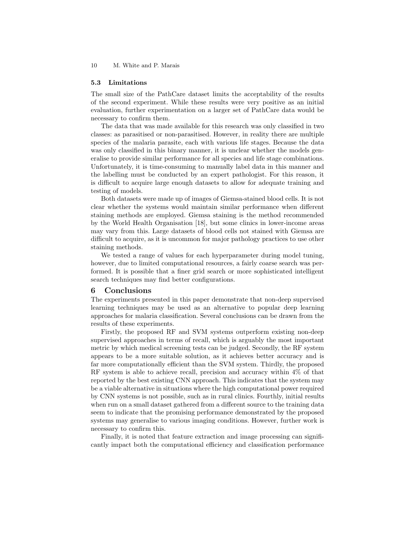10 M. White and P. Marais

#### 5.3 Limitations

The small size of the PathCare dataset limits the acceptability of the results of the second experiment. While these results were very positive as an initial evaluation, further experimentation on a larger set of PathCare data would be necessary to confirm them.

The data that was made available for this research was only classified in two classes: as parasitised or non-parasitised. However, in reality there are multiple species of the malaria parasite, each with various life stages. Because the data was only classified in this binary manner, it is unclear whether the models generalise to provide similar performance for all species and life stage combinations. Unfortunately, it is time-consuming to manually label data in this manner and the labelling must be conducted by an expert pathologist. For this reason, it is difficult to acquire large enough datasets to allow for adequate training and testing of models.

Both datasets were made up of images of Giemsa-stained blood cells. It is not clear whether the systems would maintain similar performance when different staining methods are employed. Giemsa staining is the method recommended by the World Health Organisation [18], but some clinics in lower-income areas may vary from this. Large datasets of blood cells not stained with Giemsa are difficult to acquire, as it is uncommon for major pathology practices to use other staining methods.

We tested a range of values for each hyperparameter during model tuning, however, due to limited computational resources, a fairly coarse search was performed. It is possible that a finer grid search or more sophisticated intelligent search techniques may find better configurations.

## 6 Conclusions

The experiments presented in this paper demonstrate that non-deep supervised learning techniques may be used as an alternative to popular deep learning approaches for malaria classification. Several conclusions can be drawn from the results of these experiments.

Firstly, the proposed RF and SVM systems outperform existing non-deep supervised approaches in terms of recall, which is arguably the most important metric by which medical screening tests can be judged. Secondly, the RF system appears to be a more suitable solution, as it achieves better accuracy and is far more computationally efficient than the SVM system. Thirdly, the proposed RF system is able to achieve recall, precision and accuracy within 4% of that reported by the best existing CNN approach. This indicates that the system may be a viable alternative in situations where the high computational power required by CNN systems is not possible, such as in rural clinics. Fourthly, initial results when run on a small dataset gathered from a different source to the training data seem to indicate that the promising performance demonstrated by the proposed systems may generalise to various imaging conditions. However, further work is necessary to confirm this.

Finally, it is noted that feature extraction and image processing can significantly impact both the computational efficiency and classification performance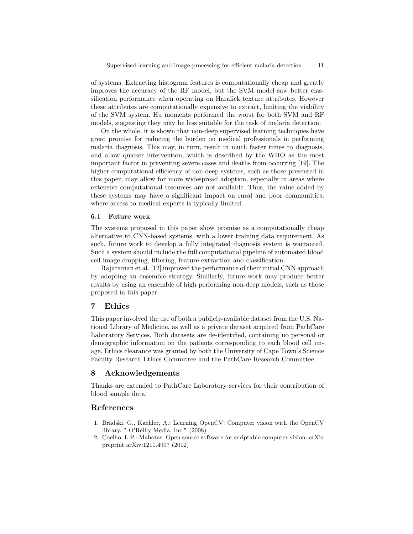of systems. Extracting histogram features is computationally cheap and greatly improves the accuracy of the RF model, but the SVM model saw better classification performance when operating on Haralick texture attributes. However these attributes are computationally expensive to extract, limiting the viability of the SVM system. Hu moments performed the worst for both SVM and RF models, suggesting they may be less suitable for the task of malaria detection.

On the whole, it is shown that non-deep supervised learning techniques have great promise for reducing the burden on medical professionals in performing malaria diagnosis. This may, in turn, result in much faster times to diagnosis, and allow quicker intervention, which is described by the WHO as the most important factor in preventing severe cases and deaths from occurring [19]. The higher computational efficiency of non-deep systems, such as those presented in this paper, may allow for more widespread adoption, especially in areas where extensive computational resources are not available. Thus, the value added by these systems may have a significant impact on rural and poor communities, where access to medical experts is typically limited.

#### 6.1 Future work

The systems proposed in this paper show promise as a computationally cheap alternative to CNN-based systems, with a lower training data requirement. As such, future work to develop a fully integrated diagnosis system is warranted. Such a system should include the full computational pipeline of automated blood cell image cropping, filtering, feature extraction and classification.

Rajaraman et al. [12] improved the performance of their initial CNN approach by adopting an ensemble strategy. Similarly, future work may produce better results by using an ensemble of high performing non-deep models, such as those proposed in this paper.

## 7 Ethics

This paper involved the use of both a publicly-available dataset from the U.S. National Library of Medicine, as well as a private dataset acquired from PathCare Laboratory Services. Both datasets are de-identified, containing no personal or demographic information on the patients corresponding to each blood cell image. Ethics clearance was granted by both the University of Cape Town's Science Faculty Research Ethics Committee and the PathCare Research Committee.

#### 8 Acknowledgements

Thanks are extended to PathCare Laboratory services for their contribution of blood sample data.

## References

- 1. Bradski, G., Kaehler, A.: Learning OpenCV: Computer vision with the OpenCV library. " O'Reilly Media, Inc." (2008)
- 2. Coelho, L.P.: Mahotas: Open source software for scriptable computer vision. arXiv preprint arXiv:1211.4907 (2012)